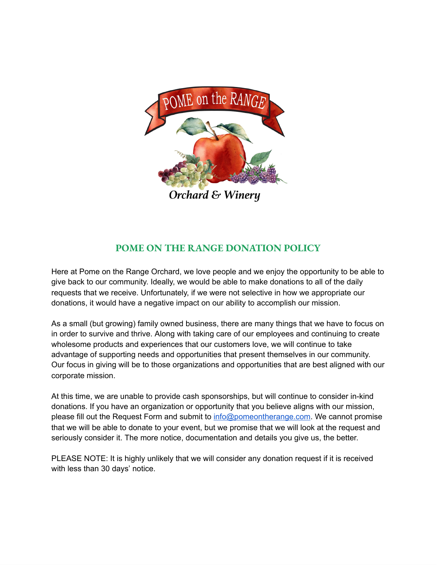

Orchard & Winery

## **POME ON THE RANGE DONATION POLICY**

Here at Pome on the Range Orchard, we love people and we enjoy the opportunity to be able to give back to our community. Ideally, we would be able to make donations to all of the daily requests that we receive. Unfortunately, if we were not selective in how we appropriate our donations, it would have a negative impact on our ability to accomplish our mission.

As a small (but growing) family owned business, there are many things that we have to focus on in order to survive and thrive. Along with taking care of our employees and continuing to create wholesome products and experiences that our customers love, we will continue to take advantage of supporting needs and opportunities that present themselves in our community. Our focus in giving will be to those organizations and opportunities that are best aligned with our corporate mission.

At this time, we are unable to provide cash sponsorships, but will continue to consider in-kind donations. If you have an organization or opportunity that you believe aligns with our mission, please fill out the Request Form and submit to info@pomeontherange.com. We cannot promise that we will be able to donate to your event, but we promise that we will look at the request and seriously consider it. The more notice, documentation and details you give us, the better.

PLEASE NOTE: It is highly unlikely that we will consider any donation request if it is received with less than 30 days' notice.